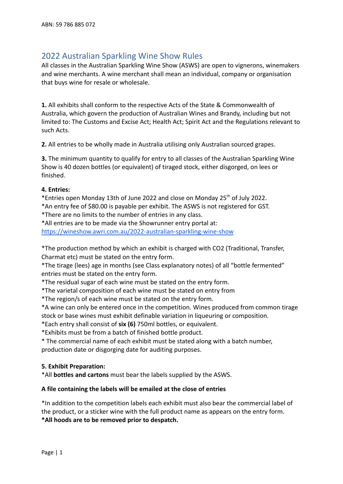# 2022 Australian Sparkling Wine Show Rules

All classes in the Australian Sparkling Wine Show (ASWS) are open to vignerons, winemakers and wine merchants. A wine merchant shall mean an individual, company or organisation that buys wine for resale or wholesale.

**1.** All exhibits shall conform to the respective Acts of the State & Commonwealth of Australia, which govern the production of Australian Wines and Brandy, including but not limited to: The Customs and Excise Act; Health Act; Spirit Act and the Regulations relevant to such Acts.

**2.** All entries to be wholly made in Australia utilising only Australian sourced grapes.

**3.** The minimum quantity to qualify for entry to all classes of the Australian Sparkling Wine Show is 40 dozen bottles (or equivalent) of tiraged stock, either disgorged, on lees or finished.

## **4. Entries:**

\*Entries open Monday 13th of June 2022 and close on Monday 25th of July 2022.

\*An entry fee of \$80.00 is payable per exhibit. The ASWS is not registered for GST.

\*There are no limits to the number of entries in any class.

\*All entries are to be made via the Showrunner entry portal at:

<https://wineshow.awri.com.au/2022-australian-sparkling-wine-show>

\*The production method by which an exhibit is charged with CO2 (Traditional, Transfer, Charmat etc) must be stated on the entry form.

\*The tirage (lees) age in months (see Class explanatory notes) of all "bottle fermented" entries must be stated on the entry form.

\*The residual sugar of each wine must be stated on the entry form.

\*The varietal composition of each wine must be stated on entry from

\*The region/s of each wine must be stated on the entry form.

\*A wine can only be entered once in the competition. Wines produced from common tirage stock or base wines must exhibit definable variation in liqueuring or composition.

\*Each entry shall consist of **six (6)** 750ml bottles, or equivalent.

\*Exhibits must be from a batch of finished bottle product.

\* The commercial name of each exhibit must be stated along with a batch number, production date or disgorging date for auditing purposes.

# **5. Exhibit Preparation:**

\*All **bottles and cartons** must bear the labels supplied by the ASWS.

#### **A file containing the labels will be emailed at the close of entries**

\*In addition to the competition labels each exhibit must also bear the commercial label of the product, or a sticker wine with the full product name as appears on the entry form. **\*All hoods are to be removed prior to despatch.**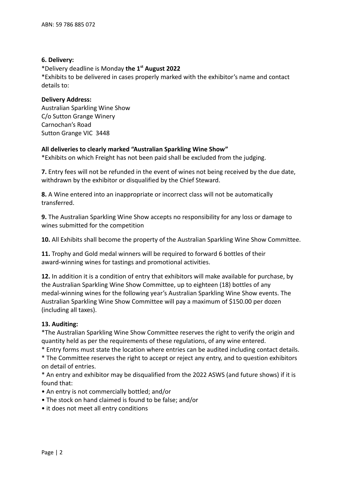## **6. Delivery:**

\*Delivery deadline is Monday **the 1st August 2022**

\*Exhibits to be delivered in cases properly marked with the exhibitor's name and contact details to:

## **Delivery Address:**

Australian Sparkling Wine Show C/o Sutton Grange Winery Carnochan's Road Sutton Grange VIC 3448

# **All deliveries to clearly marked "Australian Sparkling Wine Show"**

\*Exhibits on which Freight has not been paid shall be excluded from the judging.

**7.** Entry fees will not be refunded in the event of wines not being received by the due date, withdrawn by the exhibitor or disqualified by the Chief Steward.

**8.** A Wine entered into an inappropriate or incorrect class will not be automatically transferred.

**9.** The Australian Sparkling Wine Show accepts no responsibility for any loss or damage to wines submitted for the competition

**10.** All Exhibits shall become the property of the Australian Sparkling Wine Show Committee.

**11.** Trophy and Gold medal winners will be required to forward 6 bottles of their award-winning wines for tastings and promotional activities.

**12.** In addition it is a condition of entry that exhibitors will make available for purchase, by the Australian Sparkling Wine Show Committee, up to eighteen (18) bottles of any medal-winning wines for the following year's Australian Sparkling Wine Show events. The Australian Sparkling Wine Show Committee will pay a maximum of \$150.00 per dozen (including all taxes).

# **13. Auditing:**

\*The Australian Sparkling Wine Show Committee reserves the right to verify the origin and quantity held as per the requirements of these regulations, of any wine entered.

\* Entry forms must state the location where entries can be audited including contact details. \* The Committee reserves the right to accept or reject any entry, and to question exhibitors

on detail of entries.

\* An entry and exhibitor may be disqualified from the 2022 ASWS (and future shows) if it is found that:

- An entry is not commercially bottled; and/or
- The stock on hand claimed is found to be false; and/or
- it does not meet all entry conditions